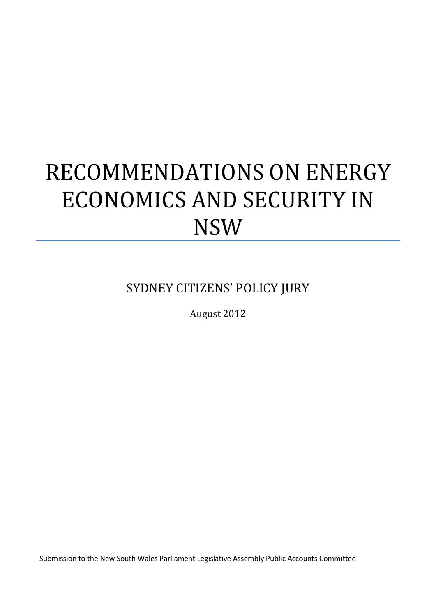# RECOMMENDATIONS ON ENERGY ECONOMICS AND SECURITY IN NSW

SYDNEY CITIZENS' POLICY JURY

August 2012

Submission to the New South Wales Parliament Legislative Assembly Public Accounts Committee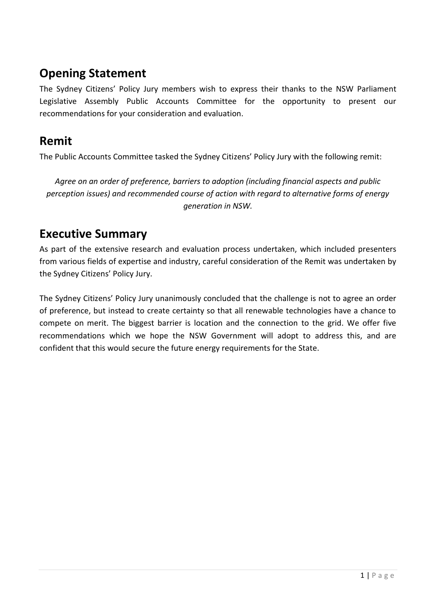# **Opening Statement**

The Sydney Citizens' Policy Jury members wish to express their thanks to the NSW Parliament Legislative Assembly Public Accounts Committee for the opportunity to present our recommendations for your consideration and evaluation.

# **Remit**

The Public Accounts Committee tasked the Sydney Citizens' Policy Jury with the following remit:

*Agree on an order of preference, barriers to adoption (including financial aspects and public perception issues) and recommended course of action with regard to alternative forms of energy generation in NSW.*

# **Executive Summary**

As part of the extensive research and evaluation process undertaken, which included presenters from various fields of expertise and industry, careful consideration of the Remit was undertaken by the Sydney Citizens' Policy Jury.

The Sydney Citizens' Policy Jury unanimously concluded that the challenge is not to agree an order of preference, but instead to create certainty so that all renewable technologies have a chance to compete on merit. The biggest barrier is location and the connection to the grid. We offer five recommendations which we hope the NSW Government will adopt to address this, and are confident that this would secure the future energy requirements for the State.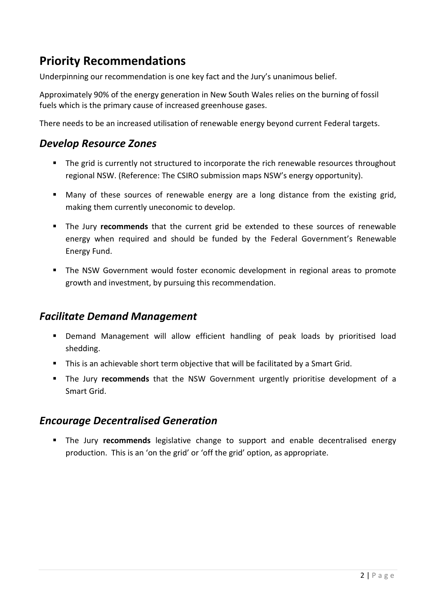# **Priority Recommendations**

Underpinning our recommendation is one key fact and the Jury's unanimous belief.

Approximately 90% of the energy generation in New South Wales relies on the burning of fossil fuels which is the primary cause of increased greenhouse gases.

There needs to be an increased utilisation of renewable energy beyond current Federal targets.

#### *Develop Resource Zones*

- The grid is currently not structured to incorporate the rich renewable resources throughout regional NSW. (Reference: The CSIRO submission maps NSW's energy opportunity).
- Many of these sources of renewable energy are a long distance from the existing grid, making them currently uneconomic to develop.
- The Jury **recommends** that the current grid be extended to these sources of renewable energy when required and should be funded by the Federal Government's Renewable Energy Fund.
- The NSW Government would foster economic development in regional areas to promote growth and investment, by pursuing this recommendation.

### *Facilitate Demand Management*

- Demand Management will allow efficient handling of peak loads by prioritised load shedding.
- **This is an achievable short term objective that will be facilitated by a Smart Grid.**
- The Jury **recommends** that the NSW Government urgently prioritise development of a Smart Grid.

### *Encourage Decentralised Generation*

**The Jury recommends** legislative change to support and enable decentralised energy production. This is an 'on the grid' or 'off the grid' option, as appropriate.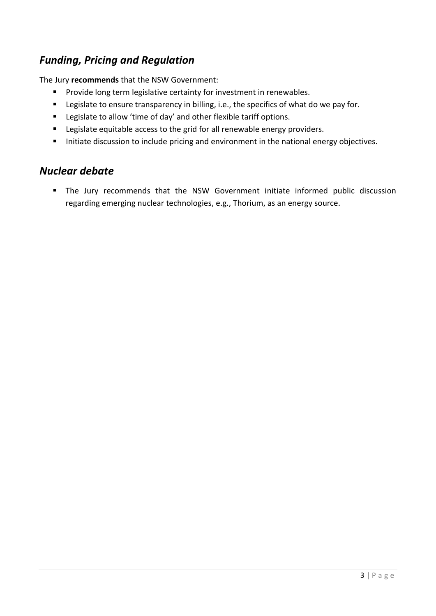## *Funding, Pricing and Regulation*

The Jury **recommends** that the NSW Government:

- **Provide long term legislative certainty for investment in renewables.**
- **EXE** Legislate to ensure transparency in billing, i.e., the specifics of what do we pay for.
- **EXEC** Legislate to allow 'time of day' and other flexible tariff options.
- **EXE** Legislate equitable access to the grid for all renewable energy providers.
- Initiate discussion to include pricing and environment in the national energy objectives.

### *Nuclear debate*

 The Jury recommends that the NSW Government initiate informed public discussion regarding emerging nuclear technologies, e.g., Thorium, as an energy source.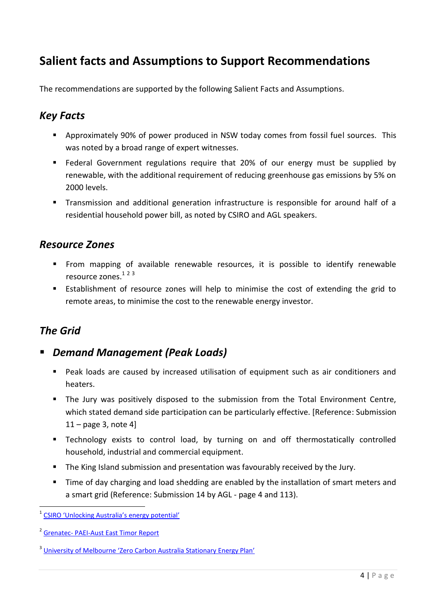# **Salient facts and Assumptions to Support Recommendations**

The recommendations are supported by the following Salient Facts and Assumptions.

## *Key Facts*

- Approximately 90% of power produced in NSW today comes from fossil fuel sources. This was noted by a broad range of expert witnesses.
- **Federal Government regulations require that 20% of our energy must be supplied by** renewable, with the additional requirement of reducing greenhouse gas emissions by 5% on 2000 levels.
- Transmission and additional generation infrastructure is responsible for around half of a residential household power bill, as noted by CSIRO and AGL speakers.

### *Resource Zones*

- **From mapping of available renewable resources, it is possible to identify renewable** resource zones.<sup>123</sup>
- Establishment of resource zones will help to minimise the cost of extending the grid to remote areas, to minimise the cost to the renewable energy investor.

## *The Grid*

**.** 

- *Demand Management (Peak Loads)*
	- Peak loads are caused by increased utilisation of equipment such as air conditioners and heaters.
	- The Jury was positively disposed to the submission from the Total Environment Centre, which stated demand side participation can be particularly effective. [Reference: Submission  $11 - page 3$ , note 4]
	- **EXT** Technology exists to control load, by turning on and off thermostatically controlled household, industrial and commercial equipment.
	- **The King Island submission and presentation was favourably received by the Jury.**
	- Time of day charging and load shedding are enabled by the installation of smart meters and a smart grid (Reference: Submission 14 by AGL - page 4 and 113).

<sup>&</sup>lt;sup>1</sup> [CSIRO 'Unlocking Australia's energy potential'](http://www.csiro.au/en/Organisation-Structure/Flagships/Energy-Transformed-Flagship/unlocking-Aust-energy-potential.aspx)

<sup>&</sup>lt;sup>2</sup> Grenatec- [PAEI-Aust East Timor Report](http://www.grenatec.com/dl/Grenatec-PAEI-Australia-East-timor.pdf)

<sup>&</sup>lt;sup>3</sup> [University of Melbourne 'Zero Carbon Australia Stationary Energy Plan'](http://media.beyondzeroemissions.org/ZCA2020_Stationary_Energy_Report_v1.pdf)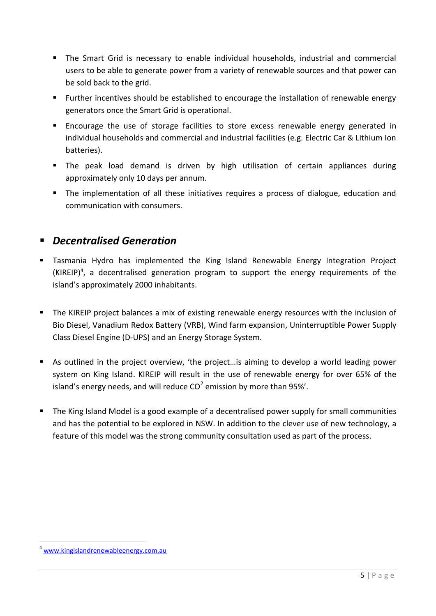- The Smart Grid is necessary to enable individual households, industrial and commercial users to be able to generate power from a variety of renewable sources and that power can be sold back to the grid.
- Further incentives should be established to encourage the installation of renewable energy generators once the Smart Grid is operational.
- Encourage the use of storage facilities to store excess renewable energy generated in individual households and commercial and industrial facilities (e.g. Electric Car & Lithium Ion batteries).
- The peak load demand is driven by high utilisation of certain appliances during approximately only 10 days per annum.
- The implementation of all these initiatives requires a process of dialogue, education and communication with consumers.

## *Decentralised Generation*

- Tasmania Hydro has implemented the King Island Renewable Energy Integration Project  $(KIREIP)^4$ , a decentralised generation program to support the energy requirements of the island's approximately 2000 inhabitants.
- **The KIREIP project balances a mix of existing renewable energy resources with the inclusion of** Bio Diesel, Vanadium Redox Battery (VRB), Wind farm expansion, Uninterruptible Power Supply Class Diesel Engine (D-UPS) and an Energy Storage System.
- As outlined in the project overview, 'the project…is aiming to develop a world leading power system on King Island. KIREIP will result in the use of renewable energy for over 65% of the island's energy needs, and will reduce  $CO^2$  emission by more than 95%'.
- The King Island Model is a good example of a decentralised power supply for small communities and has the potential to be explored in NSW. In addition to the clever use of new technology, a feature of this model was the strong community consultation used as part of the process.

1

[www.kingislandrenewableenergy.com.au](http://www.kingislandrenewableenergy.com.au/)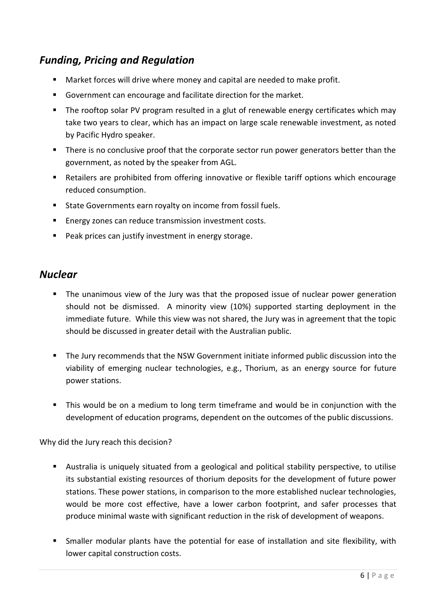## *Funding, Pricing and Regulation*

- **Market forces will drive where money and capital are needed to make profit.**
- Government can encourage and facilitate direction for the market.
- The rooftop solar PV program resulted in a glut of renewable energy certificates which may take two years to clear, which has an impact on large scale renewable investment, as noted by Pacific Hydro speaker.
- There is no conclusive proof that the corporate sector run power generators better than the government, as noted by the speaker from AGL.
- Retailers are prohibited from offering innovative or flexible tariff options which encourage reduced consumption.
- State Governments earn royalty on income from fossil fuels.
- **Energy zones can reduce transmission investment costs.**
- **Peak prices can justify investment in energy storage.**

### *Nuclear*

- The unanimous view of the Jury was that the proposed issue of nuclear power generation should not be dismissed. A minority view (10%) supported starting deployment in the immediate future. While this view was not shared, the Jury was in agreement that the topic should be discussed in greater detail with the Australian public.
- The Jury recommends that the NSW Government initiate informed public discussion into the viability of emerging nuclear technologies, e.g., Thorium, as an energy source for future power stations.
- This would be on a medium to long term timeframe and would be in conjunction with the development of education programs, dependent on the outcomes of the public discussions.

Why did the Jury reach this decision?

- Australia is uniquely situated from a geological and political stability perspective, to utilise its substantial existing resources of thorium deposits for the development of future power stations. These power stations, in comparison to the more established nuclear technologies, would be more cost effective, have a lower carbon footprint, and safer processes that produce minimal waste with significant reduction in the risk of development of weapons.
- Smaller modular plants have the potential for ease of installation and site flexibility, with lower capital construction costs.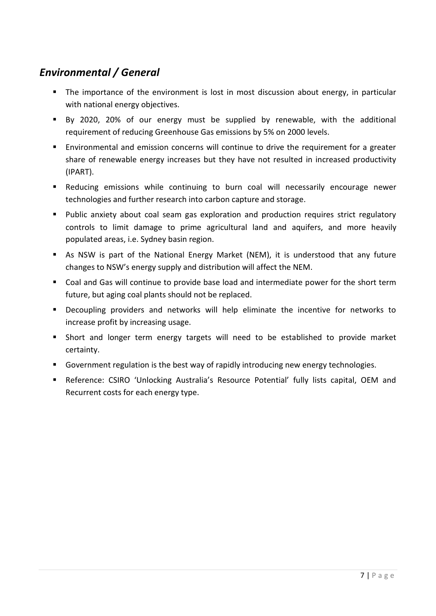# *Environmental / General*

- The importance of the environment is lost in most discussion about energy, in particular with national energy objectives.
- By 2020, 20% of our energy must be supplied by renewable, with the additional requirement of reducing Greenhouse Gas emissions by 5% on 2000 levels.
- Environmental and emission concerns will continue to drive the requirement for a greater share of renewable energy increases but they have not resulted in increased productivity (IPART).
- Reducing emissions while continuing to burn coal will necessarily encourage newer technologies and further research into carbon capture and storage.
- Public anxiety about coal seam gas exploration and production requires strict regulatory controls to limit damage to prime agricultural land and aquifers, and more heavily populated areas, i.e. Sydney basin region.
- As NSW is part of the National Energy Market (NEM), it is understood that any future changes to NSW's energy supply and distribution will affect the NEM.
- Coal and Gas will continue to provide base load and intermediate power for the short term future, but aging coal plants should not be replaced.
- Decoupling providers and networks will help eliminate the incentive for networks to increase profit by increasing usage.
- Short and longer term energy targets will need to be established to provide market certainty.
- Government regulation is the best way of rapidly introducing new energy technologies.
- Reference: CSIRO 'Unlocking Australia's Resource Potential' fully lists capital, OEM and Recurrent costs for each energy type.